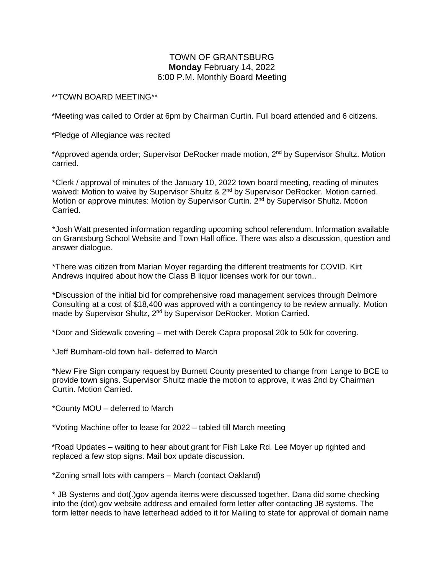## TOWN OF GRANTSBURG **Monday** February 14, 2022 6:00 P.M. Monthly Board Meeting

## \*\*TOWN BOARD MEETING\*\*

\*Meeting was called to Order at 6pm by Chairman Curtin. Full board attended and 6 citizens.

\*Pledge of Allegiance was recited

\*Approved agenda order; Supervisor DeRocker made motion, 2<sup>nd</sup> by Supervisor Shultz. Motion carried.

\*Clerk / approval of minutes of the January 10, 2022 town board meeting, reading of minutes waived: Motion to waive by Supervisor Shultz & 2<sup>nd</sup> by Supervisor DeRocker. Motion carried. Motion or approve minutes: Motion by Supervisor Curtin. 2<sup>nd</sup> by Supervisor Shultz. Motion Carried.

\*Josh Watt presented information regarding upcoming school referendum. Information available on Grantsburg School Website and Town Hall office. There was also a discussion, question and answer dialogue.

\*There was citizen from Marian Moyer regarding the different treatments for COVID. Kirt Andrews inquired about how the Class B liquor licenses work for our town..

\*Discussion of the initial bid for comprehensive road management services through Delmore Consulting at a cost of \$18,400 was approved with a contingency to be review annually. Motion made by Supervisor Shultz, 2<sup>nd</sup> by Supervisor DeRocker. Motion Carried.

\*Door and Sidewalk covering – met with Derek Capra proposal 20k to 50k for covering.

\*Jeff Burnham-old town hall- deferred to March

\*New Fire Sign company request by Burnett County presented to change from Lange to BCE to provide town signs. Supervisor Shultz made the motion to approve, it was 2nd by Chairman Curtin. Motion Carried.

\*County MOU – deferred to March

\*Voting Machine offer to lease for 2022 – tabled till March meeting

\*Road Updates – waiting to hear about grant for Fish Lake Rd. Lee Moyer up righted and replaced a few stop signs. Mail box update discussion.

\*Zoning small lots with campers – March (contact Oakland)

\* JB Systems and dot(.)gov agenda items were discussed together. Dana did some checking into the (dot).gov website address and emailed form letter after contacting JB systems. The form letter needs to have letterhead added to it for Mailing to state for approval of domain name